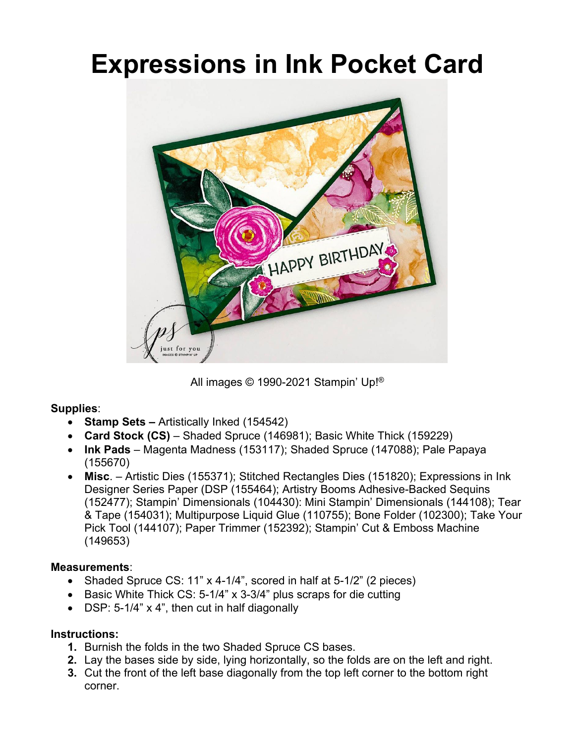## **Expressions in Ink Pocket Card**



All images © 1990-2021 Stampin' Up!®

## **Supplies**:

- **Stamp Sets** *–* Artistically Inked (154542)
- **Card Stock (CS)** Shaded Spruce (146981); Basic White Thick (159229)
- **Ink Pads** Magenta Madness (153117); Shaded Spruce (147088); Pale Papaya (155670)
- **Misc**. Artistic Dies (155371); Stitched Rectangles Dies (151820); Expressions in Ink Designer Series Paper (DSP (155464); Artistry Booms Adhesive-Backed Sequins (152477); Stampin' Dimensionals (104430): Mini Stampin' Dimensionals (144108); Tear & Tape (154031); Multipurpose Liquid Glue (110755); Bone Folder (102300); Take Your Pick Tool (144107); Paper Trimmer (152392); Stampin' Cut & Emboss Machine (149653)

## **Measurements**:

- Shaded Spruce CS: 11" x 4-1/4", scored in half at 5-1/2" (2 pieces)
- $\bullet$  Basic White Thick CS: 5-1/4" x 3-3/4" plus scraps for die cutting
- DSP: 5-1/4" x 4", then cut in half diagonally

## **Instructions:**

- **1.** Burnish the folds in the two Shaded Spruce CS bases.
- **2.** Lay the bases side by side, lying horizontally, so the folds are on the left and right.
- **3.** Cut the front of the left base diagonally from the top left corner to the bottom right corner.